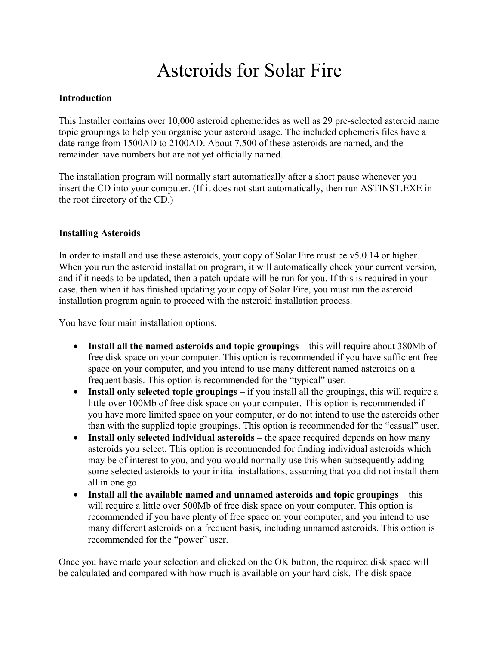# Asteroids for Solar Fire

## **Introduction**

This Installer contains over 10,000 asteroid ephemerides as well as 29 pre-selected asteroid name topic groupings to help you organise your asteroid usage. The included ephemeris files have a date range from 1500AD to 2100AD. About 7,500 of these asteroids are named, and the remainder have numbers but are not yet officially named.

The installation program will normally start automatically after a short pause whenever you insert the CD into your computer. (If it does not start automatically, then run ASTINST.EXE in the root directory of the CD.)

#### **Installing Asteroids**

In order to install and use these asteroids, your copy of Solar Fire must be v5.0.14 or higher. When you run the asteroid installation program, it will automatically check your current version, and if it needs to be updated, then a patch update will be run for you. If this is required in your case, then when it has finished updating your copy of Solar Fire, you must run the asteroid installation program again to proceed with the asteroid installation process.

You have four main installation options.

- **Install all the named asteroids and topic groupings** this will require about 380Mb of free disk space on your computer. This option is recommended if you have sufficient free space on your computer, and you intend to use many different named asteroids on a frequent basis. This option is recommended for the "typical" user.
- **Install only selected topic groupings** if you install all the groupings, this will require a little over 100Mb of free disk space on your computer. This option is recommended if you have more limited space on your computer, or do not intend to use the asteroids other than with the supplied topic groupings. This option is recommended for the "casual" user.
- **Install only selected individual asteroids** the space recquired depends on how many asteroids you select. This option is recommended for finding individual asteroids which may be of interest to you, and you would normally use this when subsequently adding some selected asteroids to your initial installations, assuming that you did not install them all in one go.
- **Install all the available named and unnamed asteroids and topic groupings** this will require a little over 500Mb of free disk space on your computer. This option is recommended if you have plenty of free space on your computer, and you intend to use many different asteroids on a frequent basis, including unnamed asteroids. This option is recommended for the "power" user.

Once you have made your selection and clicked on the OK button, the required disk space will be calculated and compared with how much is available on your hard disk. The disk space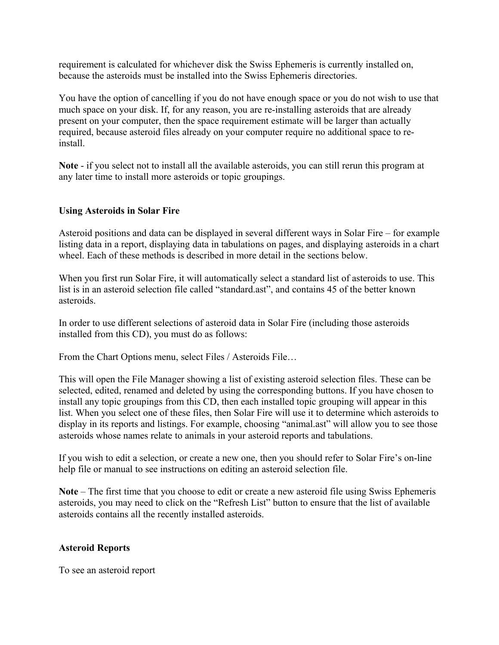requirement is calculated for whichever disk the Swiss Ephemeris is currently installed on, because the asteroids must be installed into the Swiss Ephemeris directories.

You have the option of cancelling if you do not have enough space or you do not wish to use that much space on your disk. If, for any reason, you are re-installing asteroids that are already present on your computer, then the space requirement estimate will be larger than actually required, because asteroid files already on your computer require no additional space to reinstall.

**Note** - if you select not to install all the available asteroids, you can still rerun this program at any later time to install more asteroids or topic groupings.

## **Using Asteroids in Solar Fire**

Asteroid positions and data can be displayed in several different ways in Solar Fire – for example listing data in a report, displaying data in tabulations on pages, and displaying asteroids in a chart wheel. Each of these methods is described in more detail in the sections below.

When you first run Solar Fire, it will automatically select a standard list of asteroids to use. This list is in an asteroid selection file called "standard.ast", and contains 45 of the better known asteroids.

In order to use different selections of asteroid data in Solar Fire (including those asteroids installed from this CD), you must do as follows:

From the Chart Options menu, select Files / Asteroids File…

This will open the File Manager showing a list of existing asteroid selection files. These can be selected, edited, renamed and deleted by using the corresponding buttons. If you have chosen to install any topic groupings from this CD, then each installed topic grouping will appear in this list. When you select one of these files, then Solar Fire will use it to determine which asteroids to display in its reports and listings. For example, choosing "animal.ast" will allow you to see those asteroids whose names relate to animals in your asteroid reports and tabulations.

If you wish to edit a selection, or create a new one, then you should refer to Solar Fire's on-line help file or manual to see instructions on editing an asteroid selection file.

**Note** – The first time that you choose to edit or create a new asteroid file using Swiss Ephemeris asteroids, you may need to click on the "Refresh List" button to ensure that the list of available asteroids contains all the recently installed asteroids.

#### **Asteroid Reports**

To see an asteroid report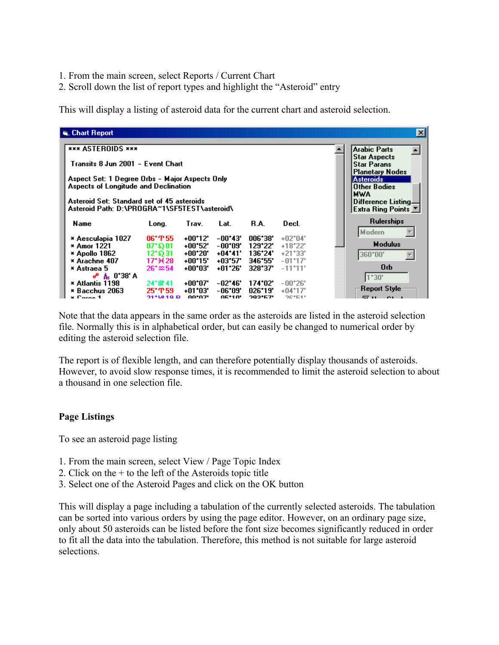- 1. From the main screen, select Reports / Current Chart
- 2. Scroll down the list of report types and highlight the "Asteroid" entry

This will display a listing of asteroid data for the current chart and asteroid selection.

| $\vert x \vert$<br>े, Chart Report                                                         |                                            |            |                         |         |                          |                     |  |  |  |  |  |  |
|--------------------------------------------------------------------------------------------|--------------------------------------------|------------|-------------------------|---------|--------------------------|---------------------|--|--|--|--|--|--|
| <b>*** ASTEROIDS ***</b>                                                                   | <b>Arabic Parts</b>                        |            |                         |         |                          |                     |  |  |  |  |  |  |
| Transits 8 Jun 2001 - Event Chart                                                          | <b>Star Aspects</b><br><b>Star Parans</b>  |            |                         |         |                          |                     |  |  |  |  |  |  |
| Aspect Set: 1 Degree Orbs - Major Aspects Only                                             | <b>Planetary Nodes</b><br><b>Asteroids</b> |            |                         |         |                          |                     |  |  |  |  |  |  |
| Aspects of Longitude and Declination                                                       | <b>Other Bodies</b><br><b>MWA</b>          |            |                         |         |                          |                     |  |  |  |  |  |  |
| Asteroid Set: Standard set of 45 asteroids<br>Asteroid Path: D:\PROGRA~1\SF5TEST\asteroid\ | Difference Listing.<br>Extra Ring Points   |            |                         |         |                          |                     |  |  |  |  |  |  |
| Name                                                                                       | Long.                                      | Trav.      | Lat.                    | R.A.    | Decl.                    | <b>Rulerships</b>   |  |  |  |  |  |  |
| * Aesculapia 1027                                                                          | $06^{\circ}$ T 55                          | $+00^*12$  | $-00^{\circ}43^{\circ}$ | 006*38' | $+02*04"$                | Modern              |  |  |  |  |  |  |
| * Amor 1221                                                                                | $07^{\circ}$ \$ $01^{\circ}$               | +00*52'    | -00*09'                 | 129*22' | $+18^{\circ}22'$         | <b>Modulus</b>      |  |  |  |  |  |  |
| * Apollo 1862                                                                              | 12*ຄ31                                     | +00*20"    | $+04*41"$               | 136*24* | $+21*33"$                | 360*00"             |  |  |  |  |  |  |
| * Arachne 407                                                                              | $17^{\circ}$ $\pm 28$                      | $+00^*15'$ | +03*57'                 | 346*55' | $-01*17"$                | 0 <sub>rb</sub>     |  |  |  |  |  |  |
| * Astraea 5<br><b>ዎ ል 0°38' A</b>                                                          | $26 \times 54$                             | +00*03'    | +01*26'                 | 328*37* | $-11$ <sup>*</sup> $11'$ |                     |  |  |  |  |  |  |
| * Atlantis 1198                                                                            | 24*#41                                     | +00*07'    | -02*46'                 | 174*02* | $-00^{\circ}26'$         | $1*30'$             |  |  |  |  |  |  |
| * Bacchus 2063                                                                             | 25*T59                                     | +01*03'    | -06*09'                 | 026*19' | +04*17'                  | <b>Report Style</b> |  |  |  |  |  |  |
| <b>x</b> Coron 1                                                                           | <b>211010D</b>                             | nn*n7'     | <b>OE*10'</b>           | つのつ+にフ! | 90*61*                   |                     |  |  |  |  |  |  |

Note that the data appears in the same order as the asteroids are listed in the asteroid selection file. Normally this is in alphabetical order, but can easily be changed to numerical order by editing the asteroid selection file.

The report is of flexible length, and can therefore potentially display thousands of asteroids. However, to avoid slow response times, it is recommended to limit the asteroid selection to about a thousand in one selection file.

#### **Page Listings**

To see an asteroid page listing

- 1. From the main screen, select View / Page Topic Index
- 2. Click on the  $+$  to the left of the Asteroids topic title
- 3. Select one of the Asteroid Pages and click on the OK button

This will display a page including a tabulation of the currently selected asteroids. The tabulation can be sorted into various orders by using the page editor. However, on an ordinary page size, only about 50 asteroids can be listed before the font size becomes significantly reduced in order to fit all the data into the tabulation. Therefore, this method is not suitable for large asteroid selections.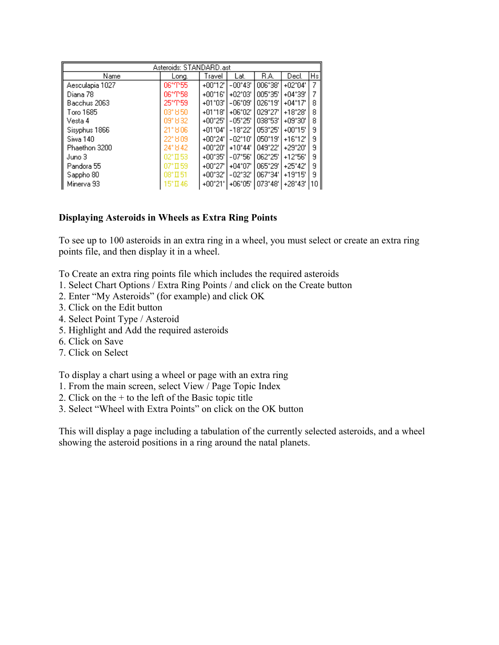| Asteroids: STANDARD.ast |                    |                  |                  |          |                  |                |  |  |  |  |  |
|-------------------------|--------------------|------------------|------------------|----------|------------------|----------------|--|--|--|--|--|
| Name                    | Long.              | Travel           | Lat.             | R.A.     | Decl.            | H <sub>s</sub> |  |  |  |  |  |
| Aesculapia 1027         | 06°T55             | +00*12'          | $-00^{\circ}43'$ | 006°38'  | $+02^{\circ}04'$ |                |  |  |  |  |  |
| Diana 78                | 06°T58.            | +00°16'          | $+02^{\circ}03'$ | 005°35'  | $+04^{\circ}39'$ |                |  |  |  |  |  |
| Bacchus 2063            | 25*ጥ59             | +01*03'          | $-06^{\circ}09'$ | 026*19'  | $+04^{\circ}17'$ | 8              |  |  |  |  |  |
| Toro 1685               | 03*850             | $+01^{\circ}18'$ | $+06^{\circ}02'$ | 1029°27' | $+18^{\circ}28'$ | 8              |  |  |  |  |  |
| Vesta 4                 | 09°832             | $+00^{\circ}25'$ | $-05^{\circ}25'$ | 038°53'  | $+09^{\circ}30'$ | 8              |  |  |  |  |  |
| Sisyphus 1866           | 21*806             | $+01^{\circ}04'$ | $-18^{\circ}22'$ | 1053°25′ | $+00^{\circ}15'$ | я              |  |  |  |  |  |
| Siwa 140                | 22° 809            | +00°24'          | -02*10'          | 1050°19' | +16*12'          | я              |  |  |  |  |  |
| Phaethon 3200           | 24° 842            | +00°20'          | $+10^{\circ}44'$ | 1049°22' | +29*20"          | я              |  |  |  |  |  |
| Juno 3                  | $02*$ II 53        | $+00^{\circ}35'$ | $-07^{\circ}56'$ | 062°25'  | $+12^{\circ}56'$ | 9              |  |  |  |  |  |
| Pandora 55              | $07^{\circ}$ II 59 | +00°27'          | $+04^{\circ}07'$ | 1065°29′ | $+25^{\circ}42'$ | 9              |  |  |  |  |  |
| Sappho 80               | $08^{\circ}$ II 51 | +00*32'          | $-02^{\circ}32'$ | 067*34'  | $+19^{\circ}15'$ | я              |  |  |  |  |  |
| Minerva 93              | 15°∏ 46            | +00°21'          | $+06^{\circ}05'$ | 1073°48' | $+28^{\circ}43'$ | 10             |  |  |  |  |  |

## **Displaying Asteroids in Wheels as Extra Ring Points**

To see up to 100 asteroids in an extra ring in a wheel, you must select or create an extra ring points file, and then display it in a wheel.

To Create an extra ring points file which includes the required asteroids

- 1. Select Chart Options / Extra Ring Points / and click on the Create button
- 2. Enter "My Asteroids" (for example) and click OK
- 3. Click on the Edit button
- 4. Select Point Type / Asteroid
- 5. Highlight and Add the required asteroids
- 6. Click on Save
- 7. Click on Select

To display a chart using a wheel or page with an extra ring

- 1. From the main screen, select View / Page Topic Index
- 2. Click on the + to the left of the Basic topic title
- 3. Select "Wheel with Extra Points" on click on the OK button

This will display a page including a tabulation of the currently selected asteroids, and a wheel showing the asteroid positions in a ring around the natal planets.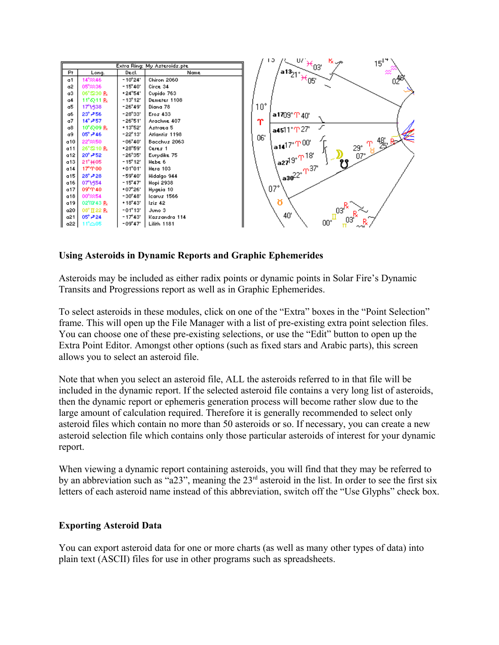

## **Using Asteroids in Dynamic Reports and Graphic Ephemerides**

Asteroids may be included as either radix points or dynamic points in Solar Fire's Dynamic Transits and Progressions report as well as in Graphic Ephemerides.

To select asteroids in these modules, click on one of the "Extra" boxes in the "Point Selection" frame. This will open up the File Manager with a list of pre-existing extra point selection files. You can choose one of these pre-existing selections, or use the "Edit" button to open up the Extra Point Editor. Amongst other options (such as fixed stars and Arabic parts), this screen allows you to select an asteroid file.

Note that when you select an asteroid file, ALL the asteroids referred to in that file will be included in the dynamic report. If the selected asteroid file contains a very long list of asteroids, then the dynamic report or ephemeris generation process will become rather slow due to the large amount of calculation required. Therefore it is generally recommended to select only asteroid files which contain no more than 50 asteroids or so. If necessary, you can create a new asteroid selection file which contains only those particular asteroids of interest for your dynamic report.

When viewing a dynamic report containing asteroids, you will find that they may be referred to by an abbreviation such as "a23", meaning the  $23<sup>rd</sup>$  asteroid in the list. In order to see the first six letters of each asteroid name instead of this abbreviation, switch off the "Use Glyphs" check box.

#### **Exporting Asteroid Data**

You can export asteroid data for one or more charts (as well as many other types of data) into plain text (ASCII) files for use in other programs such as spreadsheets.